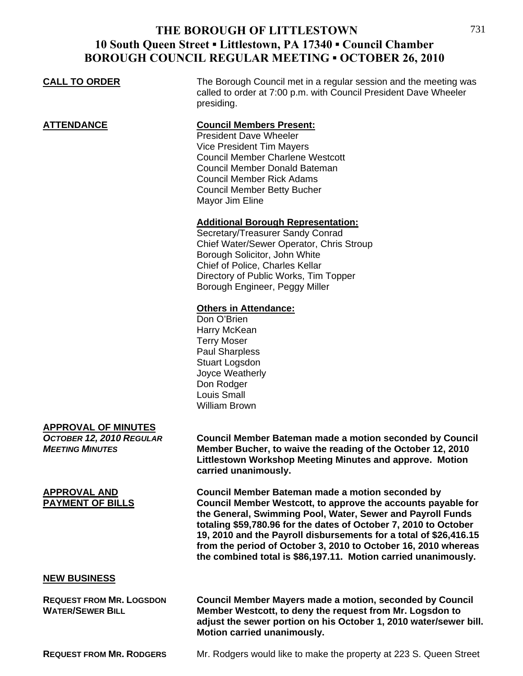## **THE BOROUGH OF LITTLESTOWN 10 South Queen Street ▪ Littlestown, PA 17340 ▪ Council Chamber BOROUGH COUNCIL REGULAR MEETING ▪ OCTOBER 26, 2010**

| <b>CALL TO ORDER</b> | The Borough Council met in a regular session and the meeting was<br>called to order at 7:00 p.m. with Council President Dave Wheeler<br>presiding.                                                                                                                            |
|----------------------|-------------------------------------------------------------------------------------------------------------------------------------------------------------------------------------------------------------------------------------------------------------------------------|
| <u>ATTENDANCE</u>    | <b>Council Members Present:</b><br><b>President Dave Wheeler</b><br><b>Vice President Tim Mayers</b><br><b>Council Member Charlene Westcott</b><br>Council Member Donald Bateman<br><b>Council Member Rick Adams</b><br><b>Council Member Betty Bucher</b><br>Mayor Jim Eline |
|                      | <b>Additional Borough Representation:</b><br>Secretary/Treasurer Sandy Conrad<br>Chief Water/Sewer Operator, Chris Stroup<br>Borough Solicitor, John White<br>Chief of Police, Charles Kellar<br>Directory of Public Works, Tim Topper<br>Borough Engineer, Peggy Miller      |
|                      | <b>Others in Attendance:</b><br>Don O'Brien<br>Harry McKean<br><b>Terry Moser</b><br><b>Paul Sharpless</b><br><b>Stuart Logsdon</b><br>Joyce Weatherly<br>Don Rodger<br>Louis Small<br><b>William Brown</b>                                                                   |
| APPROVAL OF MINIITES |                                                                                                                                                                                                                                                                               |

### **APPROVAL OF MINUTES**

*OCTOBER 12, 2010 REGULAR* **Council Member Bateman made a motion seconded by Council**  *MEETING MINUTES* **Member Bucher, to waive the reading of the October 12, 2010 Littlestown Workshop Meeting Minutes and approve. Motion carried unanimously.**

**APPROVAL AND Council Member Bateman made a motion seconded by PAYMENT OF BILLS Council Member Westcott, to approve the accounts payable for the General, Swimming Pool, Water, Sewer and Payroll Funds totaling \$59,780.96 for the dates of October 7, 2010 to October 19, 2010 and the Payroll disbursements for a total of \$26,416.15 from the period of October 3, 2010 to October 16, 2010 whereas the combined total is \$86,197.11. Motion carried unanimously.** 

### **NEW BUSINESS**

**REQUEST FROM MR. LOGSDON Council Member Mayers made a motion, seconded by Council WATER/SEWER BILL Member Westcott, to deny the request from Mr. Logsdon to adjust the sewer portion on his October 1, 2010 water/sewer bill. Motion carried unanimously.** 

**REQUEST FROM MR. RODGERS** Mr. Rodgers would like to make the property at 223 S. Queen Street